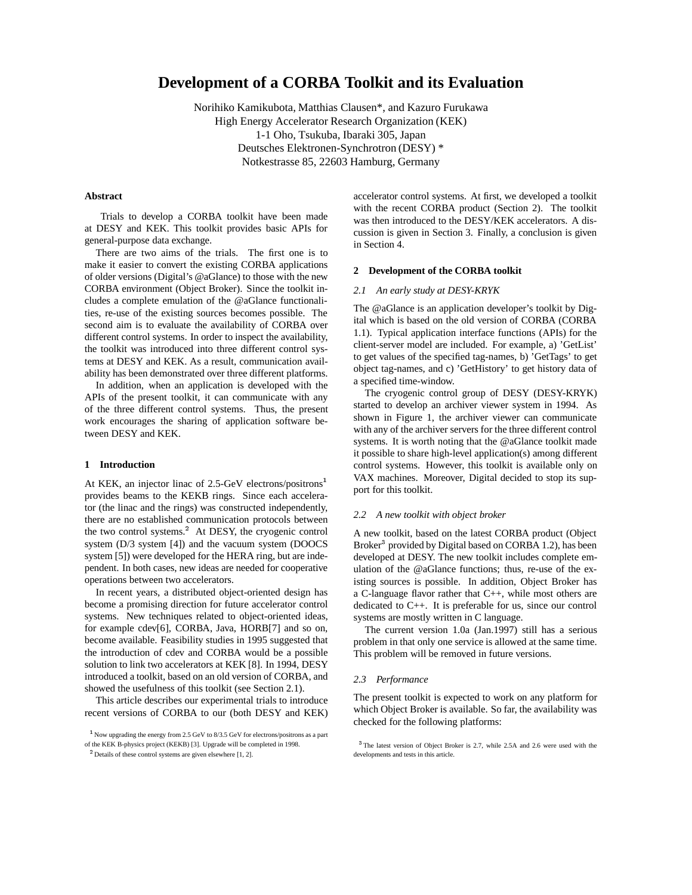# **Development of a CORBA Toolkit and its Evaluation**

Norihiko Kamikubota, Matthias Clausen\*, and Kazuro Furukawa High Energy Accelerator Research Organization (KEK) 1-1 Oho, Tsukuba, Ibaraki 305, Japan Deutsches Elektronen-Synchrotron (DESY) \* Notkestrasse 85, 22603 Hamburg, Germany

## **Abstract**

Trials to develop a CORBA toolkit have been made at DESY and KEK. This toolkit provides basic APIs for general-purpose data exchange.

There are two aims of the trials. The first one is to make it easier to convert the existing CORBA applications of older versions (Digital's @aGlance) to those with the new CORBA environment (Object Broker). Since the toolkit includes a complete emulation of the @aGlance functionalities, re-use of the existing sources becomes possible. The second aim is to evaluate the availability of CORBA over different control systems. In order to inspect the availability, the toolkit was introduced into three different control systems at DESY and KEK. As a result, communication availability has been demonstrated over three different platforms.

In addition, when an application is developed with the APIs of the present toolkit, it can communicate with any of the three different control systems. Thus, the present work encourages the sharing of application software between DESY and KEK.

#### **1 Introduction**

At KEK, an injector linac of 2.5-GeV electrons/positrons<sup>1</sup> provides beams to the KEKB rings. Since each accelerator (the linac and the rings) was constructed independently, there are no established communication protocols between the two control systems.<sup>2</sup> At DESY, the cryogenic control system (D/3 system [4]) and the vacuum system (DOOCS system [5]) were developed for the HERA ring, but are independent. In both cases, new ideas are needed for cooperative operations between two accelerators.

In recent years, a distributed object-oriented design has become a promising direction for future accelerator control systems. New techniques related to object-oriented ideas, for example cdev[6], CORBA, Java, HORB[7] and so on, become available. Feasibility studies in 1995 suggested that the introduction of cdev and CORBA would be a possible solution to link two accelerators at KEK [8]. In 1994, DESY introduced a toolkit, based on an old version of CORBA, and showed the usefulness of this toolkit (see Section 2.1).

This article describes our experimental trials to introduce recent versions of CORBA to our (both DESY and KEK)

accelerator control systems. At first, we developed a toolkit with the recent CORBA product (Section 2). The toolkit was then introduced to the DESY/KEK accelerators. A discussion is given in Section 3. Finally, a conclusion is given in Section 4.

#### **2 Development of the CORBA toolkit**

#### *2.1 An early study at DESY-KRYK*

The @aGlance is an application developer's toolkit by Digital which is based on the old version of CORBA (CORBA 1.1). Typical application interface functions (APIs) for the client-server model are included. For example, a) 'GetList' to get values of the specified tag-names, b) 'GetTags' to get object tag-names, and c) 'GetHistory' to get history data of a specified time-window.

The cryogenic control group of DESY (DESY-KRYK) started to develop an archiver viewer system in 1994. As shown in Figure 1, the archiver viewer can communicate with any of the archiver servers for the three different control systems. It is worth noting that the @aGlance toolkit made it possible to share high-level application(s) among different control systems. However, this toolkit is available only on VAX machines. Moreover, Digital decided to stop its support for this toolkit.

#### *2.2 A new toolkit with object broker*

A new toolkit, based on the latest CORBA product (Object Broker<sup>3</sup> provided by Digital based on CORBA 1.2), has been developed at DESY. The new toolkit includes complete emulation of the @aGlance functions; thus, re-use of the existing sources is possible. In addition, Object Broker has a C-language flavor rather that C++, while most others are dedicated to C++. It is preferable for us, since our control systems are mostly written in C language.

The current version 1.0a (Jan.1997) still has a serious problem in that only one service is allowed at the same time. This problem will be removed in future versions.

#### *2.3 Performance*

The present toolkit is expected to work on any platform for which Object Broker is available. So far, the availability was checked for the following platforms:

<sup>1</sup> Now upgrading the energy from 2.5 GeV to 8/3.5 GeV for electrons/positrons as a part of the KEK B-physics project (KEKB) [3]. Upgrade will be completed in 1998.

<sup>&</sup>lt;sup>2</sup> Details of these control systems are given elsewhere [1, 2].

<sup>&</sup>lt;sup>3</sup> The latest version of Object Broker is 2.7, while 2.5A and 2.6 were used with the developments and tests in this article.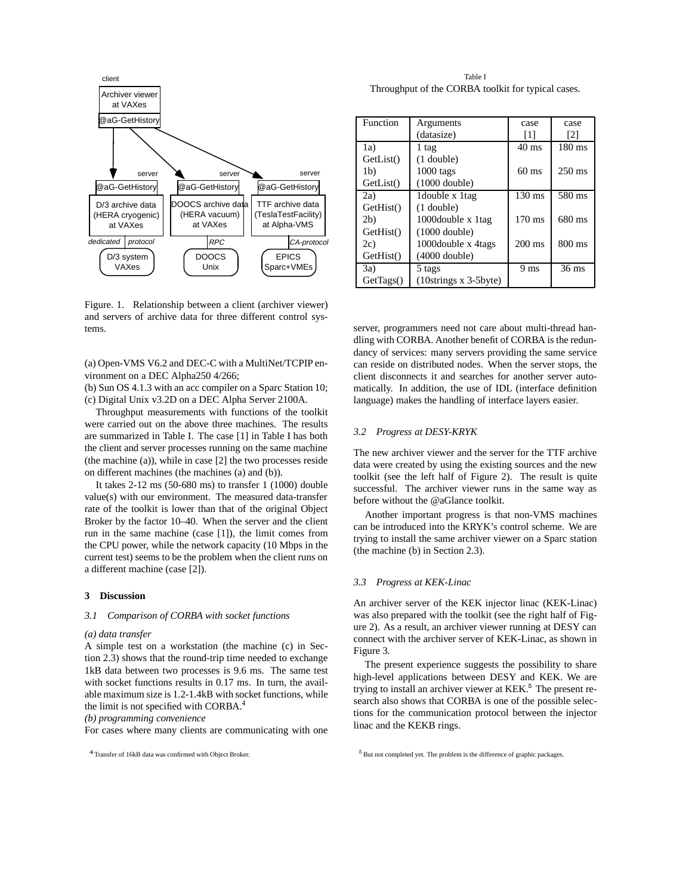

Figure. 1. Relationship between a client (archiver viewer) and servers of archive data for three different control systems.

(a) Open-VMS V6.2 and DEC-C with a MultiNet/TCPIP environment on a DEC Alpha250 4/266;

(b) Sun OS 4.1.3 with an acc compiler on a Sparc Station 10; (c) Digital Unix v3.2D on a DEC Alpha Server 2100A.

Throughput measurements with functions of the toolkit were carried out on the above three machines. The results are summarized in Table I. The case [1] in Table I has both the client and server processes running on the same machine (the machine (a)), while in case [2] the two processes reside on different machines (the machines (a) and (b)).

It takes 2-12 ms (50-680 ms) to transfer 1 (1000) double value(s) with our environment. The measured data-transfer rate of the toolkit is lower than that of the original Object Broker by the factor 10–40. When the server and the client run in the same machine (case [1]), the limit comes from the CPU power, while the network capacity (10 Mbps in the current test) seems to be the problem when the client runs on a different machine (case [2]).

## **3 Discussion**

## *3.1 Comparison of CORBA with socket functions*

#### *(a) data transfer*

A simple test on a workstation (the machine (c) in Section 2.3) shows that the round-trip time needed to exchange 1kB data between two processes is 9.6 ms. The same test with socket functions results in 0.17 ms. In turn, the available maximum size is 1.2-1.4kB with socket functions, while the limit is not specified with CORBA.<sup>4</sup>

*(b) programming convenience*

For cases where many clients are communicating with one

Table I Throughput of the CORBA toolkit for typical cases.

| Function       | Arguments                 | case              | case              |
|----------------|---------------------------|-------------------|-------------------|
|                | (datasize)                | $\lceil 1 \rceil$ | $\lceil 2 \rceil$ |
| 1a)            | 1 tag                     | $40 \text{ ms}$   | $180 \text{ ms}$  |
| GetList()      | $(1$ double)              |                   |                   |
| 1 <sub>b</sub> | $1000$ tags               | $60 \text{ ms}$   | $250 \text{ ms}$  |
| GetList()      | $(1000$ double)           |                   |                   |
| 2a)            | Idouble x 1tag            | $130 \text{ ms}$  | 580 ms            |
| GetHist()      | $(1$ double)              |                   |                   |
| 2 <sub>b</sub> | 1000double x 1tag         | $170 \text{ ms}$  | 680 ms            |
| GetHist()      | $(1000$ double)           |                   |                   |
| 2c)            | 1000 double x 4 tags      | $200 \text{ ms}$  | 800 ms            |
| GetHist()      | $(4000$ double)           |                   |                   |
| 3a)            | 5 tags                    | 9 ms              | $36$ ms           |
| GetTags()      | $(10)$ strings x 3-5byte) |                   |                   |

server, programmers need not care about multi-thread handling with CORBA. Another benefit of CORBA is the redundancy of services: many servers providing the same service can reside on distributed nodes. When the server stops, the client disconnects it and searches for another server automatically. In addition, the use of IDL (interface definition language) makes the handling of interface layers easier.

## *3.2 Progress at DESY-KRYK*

The new archiver viewer and the server for the TTF archive data were created by using the existing sources and the new toolkit (see the left half of Figure 2). The result is quite successful. The archiver viewer runs in the same way as before without the @aGlance toolkit.

Another important progress is that non-VMS machines can be introduced into the KRYK's control scheme. We are trying to install the same archiver viewer on a Sparc station (the machine (b) in Section 2.3).

## *3.3 Progress at KEK-Linac*

An archiver server of the KEK injector linac (KEK-Linac) was also prepared with the toolkit (see the right half of Figure 2). As a result, an archiver viewer running at DESY can connect with the archiver server of KEK-Linac, as shown in Figure 3.

The present experience suggests the possibility to share high-level applications between DESY and KEK. We are trying to install an archiver viewer at KEK.<sup>5</sup> The present research also shows that CORBA is one of the possible selections for the communication protocol between the injector linac and the KEKB rings.

<sup>&</sup>lt;sup>4</sup> Transfer of 16kB data was confirmed with Object Broker.

<sup>&</sup>lt;sup>5</sup> But not completed yet. The problem is the difference of graphic packages.